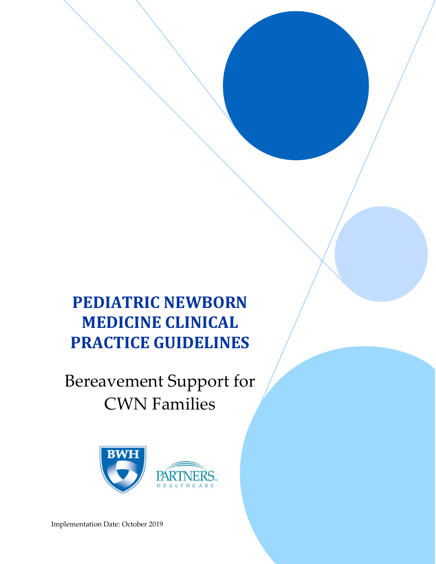# **PEDIATRIC NEWBORN MEDICINE CLINICAL PRACTICE GUIDELINES**

# Bereavement Support for CWN Families



Implementation Date: October 2019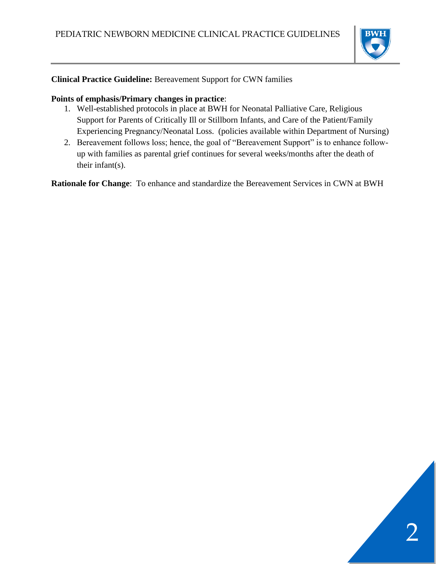

#### **Clinical Practice Guideline:** Bereavement Support for CWN families

#### **Points of emphasis/Primary changes in practice**:

- 1. Well-established protocols in place at BWH for Neonatal Palliative Care, Religious Support for Parents of Critically Ill or Stillborn Infants, and Care of the Patient/Family Experiencing Pregnancy/Neonatal Loss. (policies available within Department of Nursing)
- 2. Bereavement follows loss; hence, the goal of "Bereavement Support" is to enhance followup with families as parental grief continues for several weeks/months after the death of their infant(s).

**Rationale for Change**: To enhance and standardize the Bereavement Services in CWN at BWH

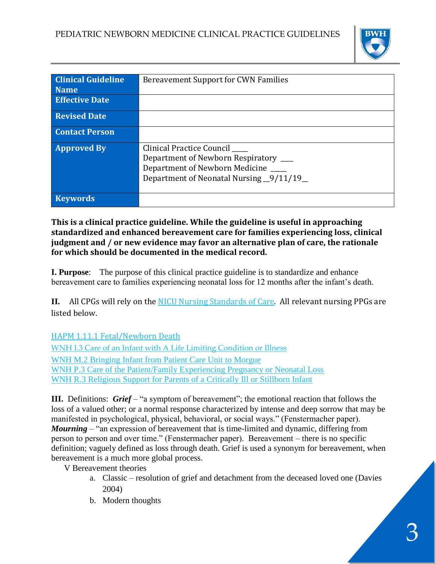

| <b>Clinical Guideline</b> | <b>Bereavement Support for CWN Families</b> |  |  |  |  |  |  |
|---------------------------|---------------------------------------------|--|--|--|--|--|--|
| <b>Name</b>               |                                             |  |  |  |  |  |  |
| <b>Effective Date</b>     |                                             |  |  |  |  |  |  |
| <b>Revised Date</b>       |                                             |  |  |  |  |  |  |
| <b>Contact Person</b>     |                                             |  |  |  |  |  |  |
| <b>Approved By</b>        | Clinical Practice Council                   |  |  |  |  |  |  |
|                           | Department of Newborn Respiratory ___       |  |  |  |  |  |  |
|                           | Department of Newborn Medicine              |  |  |  |  |  |  |
|                           | Department of Neonatal Nursing _9/11/19_    |  |  |  |  |  |  |
|                           |                                             |  |  |  |  |  |  |
| <b>Keywords</b>           |                                             |  |  |  |  |  |  |

**This is a clinical practice guideline. While the guideline is useful in approaching standardized and enhanced bereavement care for families experiencing loss, clinical judgment and / or new evidence may favor an alternative plan of care, the rationale for which should be documented in the medical record.**

**I. Purpose**: The purpose of this clinical practice guideline is to standardize and enhance bereavement care to families experiencing neonatal loss for 12 months after the infant's death.

**II.** All CPGs will rely on the [NICU Nursing Standards of Care.](https://hospitalpolicies.ellucid.com/documents/view/3228/active/) All relevant nursing PPGs are listed below.

[HAPM 1.11.1 Fetal/Newborn Death](https://hospitalpolicies.ellucid.com/documents/view/2491/active/)

[WNH I.3 Care of an Infant with A Life Limiting Condition or Illness](https://hospitalpolicies.ellucid.com/documents/view/3287/) [WNH M.2 Bringing Infant from Patient Care Unit to Morgue](https://hospitalpolicies.ellucid.com/documents/view/3293/active/) [WNH P.3 Care of the Patient/Family Experiencing Pregnancy or Neonatal Loss](https://hospitalpolicies.ellucid.com/documents/view/3301/active/) [WNH R.3 Religious Support for Parents of a Critically Ill or Stillborn Infant](https://hospitalpolicies.ellucid.com/documents/view/3307/active/)

**III.** Definitions: *Grief* – "a symptom of bereavement"; the emotional reaction that follows the loss of a valued other; or a normal response characterized by intense and deep sorrow that may be manifested in psychological, physical, behavioral, or social ways." (Fenstermacher paper). *Mourning* – "an expression of bereavement that is time-limited and dynamic, differing from person to person and over time." (Fenstermacher paper). Bereavement – there is no specific definition; vaguely defined as loss through death. Grief is used a synonym for bereavement, when bereavement is a much more global process.

V Bereavement theories

- a. Classic resolution of grief and detachment from the deceased loved one (Davies 2004)
- b. Modern thoughts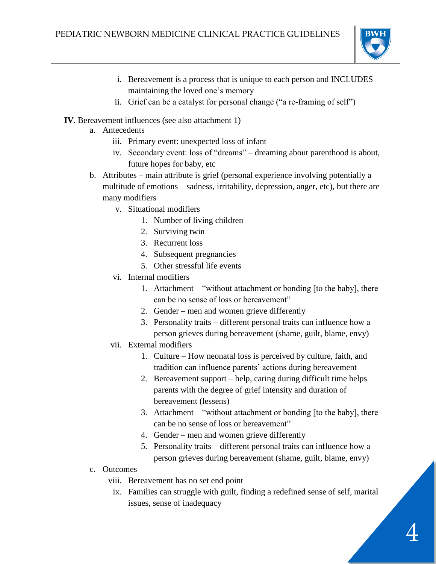

- i. Bereavement is a process that is unique to each person and INCLUDES maintaining the loved one's memory
- ii. Grief can be a catalyst for personal change ("a re-framing of self")
- **IV**. Bereavement influences (see also attachment 1)
	- a. Antecedents
		- iii. Primary event: unexpected loss of infant
		- iv. Secondary event: loss of "dreams" dreaming about parenthood is about, future hopes for baby, etc
	- b. Attributes main attribute is grief (personal experience involving potentially a multitude of emotions – sadness, irritability, depression, anger, etc), but there are many modifiers
		- v. Situational modifiers
			- 1. Number of living children
			- 2. Surviving twin
			- 3. Recurrent loss
			- 4. Subsequent pregnancies
			- 5. Other stressful life events
		- vi. Internal modifiers
			- 1. Attachment "without attachment or bonding [to the baby], there can be no sense of loss or bereavement"
			- 2. Gender men and women grieve differently
			- 3. Personality traits different personal traits can influence how a person grieves during bereavement (shame, guilt, blame, envy)
		- vii. External modifiers
			- 1. Culture How neonatal loss is perceived by culture, faith, and tradition can influence parents' actions during bereavement
			- 2. Bereavement support help, caring during difficult time helps parents with the degree of grief intensity and duration of bereavement (lessens)
			- 3. Attachment "without attachment or bonding [to the baby], there can be no sense of loss or bereavement"
			- 4. Gender men and women grieve differently
			- 5. Personality traits different personal traits can influence how a person grieves during bereavement (shame, guilt, blame, envy)
	- c. Outcomes
		- viii. Bereavement has no set end point
			- ix. Families can struggle with guilt, finding a redefined sense of self, marital issues, sense of inadequacy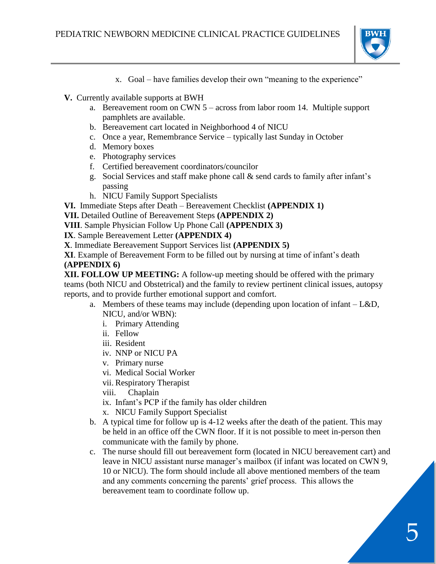

- x. Goal have families develop their own "meaning to the experience"
- **V.** Currently available supports at BWH
	- a. Bereavement room on CWN 5 across from labor room 14. Multiple support pamphlets are available.
	- b. Bereavement cart located in Neighborhood 4 of NICU
	- c. Once a year, Remembrance Service typically last Sunday in October
	- d. Memory boxes
	- e. Photography services
	- f. Certified bereavement coordinators/councilor
	- g. Social Services and staff make phone call & send cards to family after infant's passing
	- h. NICU Family Support Specialists

**VI.** Immediate Steps after Death – Bereavement Checklist **(APPENDIX 1)**

**VII.** Detailed Outline of Bereavement Steps **(APPENDIX 2)**

**VIII**. Sample Physician Follow Up Phone Call **(APPENDIX 3)**

**IX**. Sample Bereavement Letter **(APPENDIX 4)**

**X**. Immediate Bereavement Support Services list **(APPENDIX 5)**

**XI**. Example of Bereavement Form to be filled out by nursing at time of infant's death **(APPENDIX 6)**

**XII. FOLLOW UP MEETING:** A follow-up meeting should be offered with the primary teams (both NICU and Obstetrical) and the family to review pertinent clinical issues, autopsy reports, and to provide further emotional support and comfort.

- a. Members of these teams may include (depending upon location of infant L&D, NICU, and/or WBN):
	- i. Primary Attending
	- ii. Fellow
	- iii. Resident
	- iv. NNP or NICU PA
	- v. Primary nurse
	- vi. Medical Social Worker
	- vii. Respiratory Therapist
	- viii. Chaplain
	- ix. Infant's PCP if the family has older children
	- x. NICU Family Support Specialist
- b. A typical time for follow up is 4-12 weeks after the death of the patient. This may be held in an office off the CWN floor. If it is not possible to meet in-person then communicate with the family by phone.
- c. The nurse should fill out bereavement form (located in NICU bereavement cart) and leave in NICU assistant nurse manager's mailbox (if infant was located on CWN 9, 10 or NICU). The form should include all above mentioned members of the team and any comments concerning the parents' grief process. This allows the bereavement team to coordinate follow up.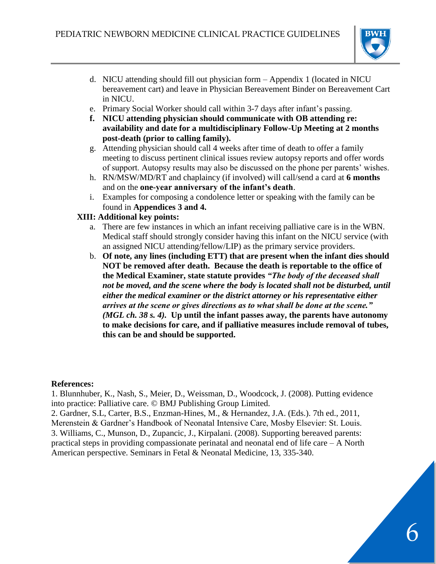

- d. NICU attending should fill out physician form Appendix 1 (located in NICU bereavement cart) and leave in Physician Bereavement Binder on Bereavement Cart in NICU.
- e. Primary Social Worker should call within 3-7 days after infant's passing.
- **f. NICU attending physician should communicate with OB attending re: availability and date for a multidisciplinary Follow-Up Meeting at 2 months post-death (prior to calling family).**
- g. Attending physician should call 4 weeks after time of death to offer a family meeting to discuss pertinent clinical issues review autopsy reports and offer words of support. Autopsy results may also be discussed on the phone per parents' wishes.
- h. RN/MSW/MD/RT and chaplaincy (if involved) will call/send a card at **6 months** and on the **one-year anniversary of the infant's death**.
- i. Examples for composing a condolence letter or speaking with the family can be found in **Appendices 3 and 4.**

#### **XIII: Additional key points:**

- a. There are few instances in which an infant receiving palliative care is in the WBN. Medical staff should strongly consider having this infant on the NICU service (with an assigned NICU attending/fellow/LIP) as the primary service providers.
- b. **Of note, any lines (including ETT) that are present when the infant dies should NOT be removed after death. Because the death is reportable to the office of the Medical Examiner, state statute provides** *"The body of the deceased shall not be moved, and the scene where the body is located shall not be disturbed, until either the medical examiner or the district attorney or his representative either arrives at the scene or gives directions as to what shall be done at the scene." (MGL ch. 38 s. 4).* **Up until the infant passes away, the parents have autonomy to make decisions for care, and if palliative measures include removal of tubes, this can be and should be supported.**

#### **References:**

1. Blunnhuber, K., Nash, S., Meier, D., Weissman, D., Woodcock, J. (2008). Putting evidence into practice: Palliative care. © BMJ Publishing Group Limited.

2. Gardner, S.L, Carter, B.S., Enzman-Hines, M., & Hernandez, J.A. (Eds.). 7th ed., 2011, Merenstein & Gardner's Handbook of Neonatal Intensive Care, Mosby Elsevier: St. Louis. 3. Williams, C., Munson, D., Zupancic, J., Kirpalani. (2008). Supporting bereaved parents: practical steps in providing compassionate perinatal and neonatal end of life care – A North American perspective. Seminars in Fetal & Neonatal Medicine, 13, 335-340.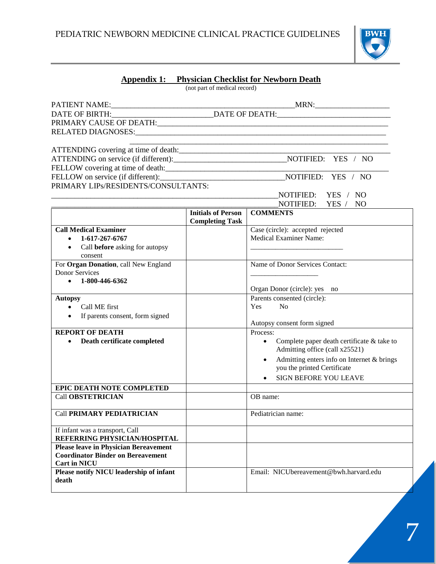

#### **Appendix 1: Physician Checklist for Newborn Death**

(not part of medical record)

|                                                                 |                                                     | <u> 1989 - Johann Stoff, amerikan bestein besteht aus dem Berlingen aus dem Berlingen aus der Berlingen aus der E</u> |  |  |  |  |
|-----------------------------------------------------------------|-----------------------------------------------------|-----------------------------------------------------------------------------------------------------------------------|--|--|--|--|
|                                                                 |                                                     |                                                                                                                       |  |  |  |  |
|                                                                 |                                                     |                                                                                                                       |  |  |  |  |
|                                                                 |                                                     |                                                                                                                       |  |  |  |  |
|                                                                 |                                                     |                                                                                                                       |  |  |  |  |
| PRIMARY LIPS/RESIDENTS/CONSULTANTS:                             |                                                     |                                                                                                                       |  |  |  |  |
|                                                                 |                                                     | NOTIFIED: YES / NO                                                                                                    |  |  |  |  |
|                                                                 |                                                     | NOTIFIED: YES / NO                                                                                                    |  |  |  |  |
|                                                                 | <b>Initials of Person</b><br><b>Completing Task</b> | <b>COMMENTS</b>                                                                                                       |  |  |  |  |
| <b>Call Medical Examiner</b>                                    |                                                     | Case (circle): accepted rejected                                                                                      |  |  |  |  |
| $-1-617-267-6767$                                               |                                                     | <b>Medical Examiner Name:</b>                                                                                         |  |  |  |  |
| • Call before asking for autopsy                                |                                                     |                                                                                                                       |  |  |  |  |
| consent                                                         |                                                     |                                                                                                                       |  |  |  |  |
| For Organ Donation, call New England                            |                                                     | Name of Donor Services Contact:                                                                                       |  |  |  |  |
| <b>Donor Services</b>                                           |                                                     |                                                                                                                       |  |  |  |  |
| $\bullet$ 1-800-446-6362                                        |                                                     |                                                                                                                       |  |  |  |  |
|                                                                 |                                                     | Organ Donor (circle): yes no                                                                                          |  |  |  |  |
| <b>Autopsy</b>                                                  |                                                     | Parents consented (circle):                                                                                           |  |  |  |  |
| • Call ME first                                                 |                                                     | Yes<br>N <sub>0</sub>                                                                                                 |  |  |  |  |
| • If parents consent, form signed                               |                                                     | Autopsy consent form signed                                                                                           |  |  |  |  |
| <b>REPORT OF DEATH</b>                                          |                                                     | Process:                                                                                                              |  |  |  |  |
| Death certificate completed                                     |                                                     | Complete paper death certificate & take to<br>$\bullet$                                                               |  |  |  |  |
|                                                                 |                                                     | Admitting office (call x25521)                                                                                        |  |  |  |  |
|                                                                 |                                                     | Admitting enters info on Internet & brings<br>$\bullet$                                                               |  |  |  |  |
|                                                                 |                                                     | you the printed Certificate                                                                                           |  |  |  |  |
|                                                                 |                                                     | <b>SIGN BEFORE YOU LEAVE</b>                                                                                          |  |  |  |  |
| EPIC DEATH NOTE COMPLETED                                       |                                                     |                                                                                                                       |  |  |  |  |
| <b>Call OBSTETRICIAN</b>                                        |                                                     | OB name:                                                                                                              |  |  |  |  |
|                                                                 |                                                     |                                                                                                                       |  |  |  |  |
| <b>Call PRIMARY PEDIATRICIAN</b>                                |                                                     | Pediatrician name:                                                                                                    |  |  |  |  |
| If infant was a transport, Call<br>REFERRING PHYSICIAN/HOSPITAL |                                                     |                                                                                                                       |  |  |  |  |
| <b>Please leave in Physician Bereavement</b>                    |                                                     |                                                                                                                       |  |  |  |  |
| <b>Coordinator Binder on Bereavement</b>                        |                                                     |                                                                                                                       |  |  |  |  |
| <b>Cart in NICU</b>                                             |                                                     |                                                                                                                       |  |  |  |  |
| Please notify NICU leadership of infant                         |                                                     | Email: NICUbereavement@bwh.harvard.edu                                                                                |  |  |  |  |
| death                                                           |                                                     |                                                                                                                       |  |  |  |  |
|                                                                 |                                                     |                                                                                                                       |  |  |  |  |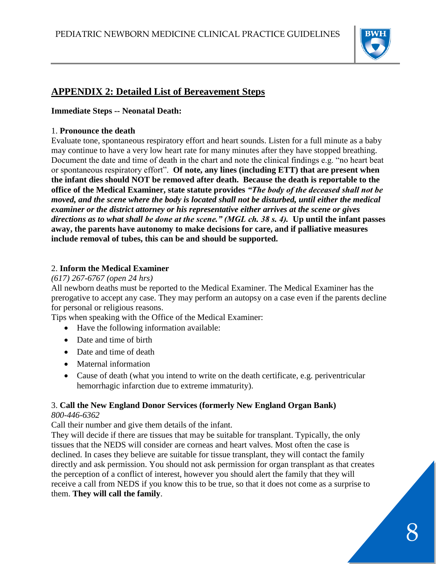

### **APPENDIX 2: Detailed List of Bereavement Steps**

#### **Immediate Steps -- Neonatal Death:**

#### 1. **Pronounce the death**

Evaluate tone, spontaneous respiratory effort and heart sounds. Listen for a full minute as a baby may continue to have a very low heart rate for many minutes after they have stopped breathing. Document the date and time of death in the chart and note the clinical findings e.g. "no heart beat" or spontaneous respiratory effort". **Of note, any lines (including ETT) that are present when the infant dies should NOT be removed after death. Because the death is reportable to the office of the Medical Examiner, state statute provides** *"The body of the deceased shall not be moved, and the scene where the body is located shall not be disturbed, until either the medical examiner or the district attorney or his representative either arrives at the scene or gives directions as to what shall be done at the scene." (MGL ch. 38 s. 4).* **Up until the infant passes away, the parents have autonomy to make decisions for care, and if palliative measures include removal of tubes, this can be and should be supported.** 

#### 2. **Inform the Medical Examiner**

#### *(617) 267-6767 (open 24 hrs)*

All newborn deaths must be reported to the Medical Examiner. The Medical Examiner has the prerogative to accept any case. They may perform an autopsy on a case even if the parents decline for personal or religious reasons.

Tips when speaking with the Office of the Medical Examiner:

- Have the following information available:
- Date and time of birth
- Date and time of death
- Maternal information
- Cause of death (what you intend to write on the death certificate, e.g. periventricular hemorrhagic infarction due to extreme immaturity).

#### 3. **Call the New England Donor Services (formerly New England Organ Bank)**

#### *800-446-6362*

Call their number and give them details of the infant.

They will decide if there are tissues that may be suitable for transplant. Typically, the only tissues that the NEDS will consider are corneas and heart valves. Most often the case is declined. In cases they believe are suitable for tissue transplant, they will contact the family directly and ask permission. You should not ask permission for organ transplant as that creates the perception of a conflict of interest, however you should alert the family that they will receive a call from NEDS if you know this to be true, so that it does not come as a surprise to them. **They will call the family**.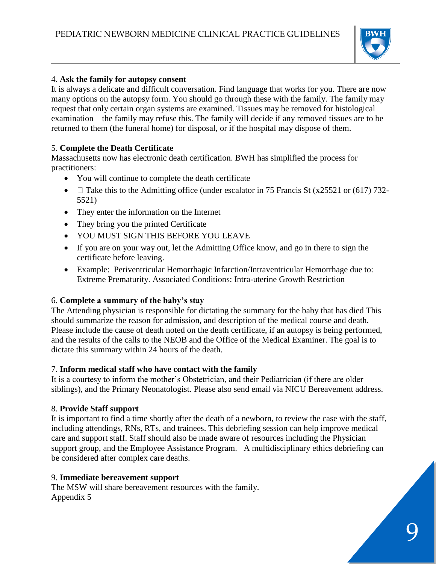

#### 4. **Ask the family for autopsy consent**

It is always a delicate and difficult conversation. Find language that works for you. There are now many options on the autopsy form. You should go through these with the family. The family may request that only certain organ systems are examined. Tissues may be removed for histological examination – the family may refuse this. The family will decide if any removed tissues are to be returned to them (the funeral home) for disposal, or if the hospital may dispose of them.

#### 5. **Complete the Death Certificate**

Massachusetts now has electronic death certification. BWH has simplified the process for practitioners:

- You will continue to complete the death certificate
- $\Box$  Take this to the Admitting office (under escalator in 75 Francis St (x25521 or (617) 732-5521)
- They enter the information on the Internet
- They bring you the printed Certificate
- YOU MUST SIGN THIS BEFORE YOU LEAVE
- If you are on your way out, let the Admitting Office know, and go in there to sign the certificate before leaving.
- Example: Periventricular Hemorrhagic Infarction/Intraventricular Hemorrhage due to: Extreme Prematurity. Associated Conditions: Intra-uterine Growth Restriction

#### 6. **Complete a summary of the baby's stay**

The Attending physician is responsible for dictating the summary for the baby that has died This should summarize the reason for admission, and description of the medical course and death. Please include the cause of death noted on the death certificate, if an autopsy is being performed, and the results of the calls to the NEOB and the Office of the Medical Examiner. The goal is to dictate this summary within 24 hours of the death.

#### 7. **Inform medical staff who have contact with the family**

It is a courtesy to inform the mother's Obstetrician, and their Pediatrician (if there are older siblings), and the Primary Neonatologist. Please also send email via NICU Bereavement address.

#### 8. **Provide Staff support**

It is important to find a time shortly after the death of a newborn, to review the case with the staff, including attendings, RNs, RTs, and trainees. This debriefing session can help improve medical care and support staff. Staff should also be made aware of resources including the Physician support group, and the Employee Assistance Program. A multidisciplinary ethics debriefing can be considered after complex care deaths.

#### 9. **Immediate bereavement support**

The MSW will share bereavement resources with the family. Appendix 5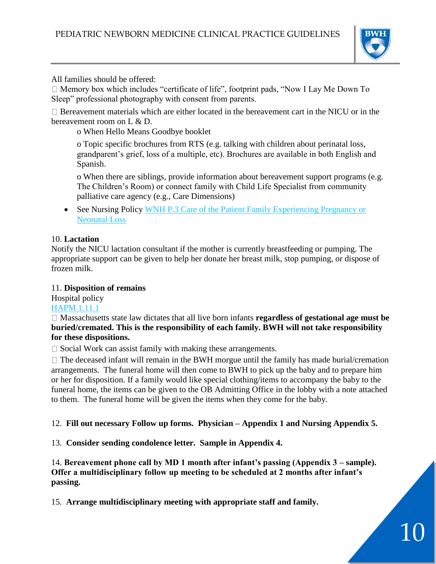

All families should be offered:

 $\Box$  Memory box which includes "certificate of life", footprint pads, "Now I Lay Me Down To Sleep" professional photography with consent from parents.

 $\Box$  Bereavement materials which are either located in the bereavement cart in the NICU or in the bereavement room on L & D.

o When Hello Means Goodbye booklet

o Topic specific brochures from RTS (e.g. talking with children about perinatal loss, grandparent's grief, loss of a multiple, etc). Brochures are available in both English and Spanish.

o When there are siblings, provide information about bereavement support programs (e.g. The Children's Room) or connect family with Child Life Specialist from community palliative care agency (e.g., Care Dimensions)

• See Nursing Policy WNH P.3 Care of the Patient Family Experiencing Pregnancy or [Neonatal Loss](https://hospitalpolicies.ellucid.com/documents/view/3301/active/) 

#### 10. **Lactation**

Notify the NICU lactation consultant if the mother is currently breastfeeding or pumping. The appropriate support can be given to help her donate her breast milk, stop pumping, or dispose of frozen milk.

#### 11. **Disposition of remains**

Hospital policy [HAPM 1.11.1](https://hospitalpolicies.ellucid.com/documents/view/2491/active/)

Massachusetts state law dictates that all live born infants **regardless of gestational age must be buried/cremated. This is the responsibility of each family. BWH will not take responsibility for these dispositions.** 

 $\Box$  Social Work can assist family with making these arrangements.

 $\Box$  The deceased infant will remain in the BWH morgue until the family has made burial/cremation arrangements. The funeral home will then come to BWH to pick up the baby and to prepare him or her for disposition. If a family would like special clothing/items to accompany the baby to the funeral home, the items can be given to the OB Admitting Office in the lobby with a note attached to them. The funeral home will be given the items when they come for the baby.

12. **Fill out necessary Follow up forms. Physician – Appendix 1 and Nursing Appendix 5.**

13. **Consider sending condolence letter. Sample in Appendix 4.**

14. **Bereavement phone call by MD 1 month after infant's passing (Appendix 3 – sample). Offer a multidisciplinary follow up meeting to be scheduled at 2 months after infant's passing.**

15. **Arrange multidisciplinary meeting with appropriate staff and family.**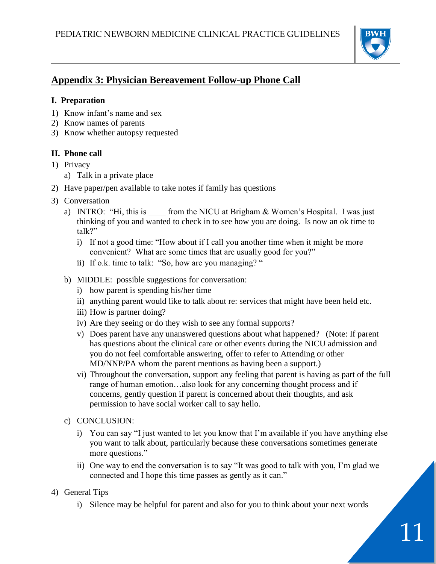

# **Appendix 3: Physician Bereavement Follow-up Phone Call**

#### **I. Preparation**

- 1) Know infant's name and sex
- 2) Know names of parents
- 3) Know whether autopsy requested

#### **II. Phone call**

- 1) Privacy
	- a) Talk in a private place
- 2) Have paper/pen available to take notes if family has questions
- 3) Conversation
	- a) INTRO: "Hi, this is from the NICU at Brigham  $&$  Women's Hospital. I was just thinking of you and wanted to check in to see how you are doing. Is now an ok time to talk?"
		- i) If not a good time: "How about if I call you another time when it might be more convenient? What are some times that are usually good for you?"
		- ii) If o.k. time to talk: "So, how are you managing? "
	- b) MIDDLE: possible suggestions for conversation:
		- i) how parent is spending his/her time
		- ii) anything parent would like to talk about re: services that might have been held etc.
		- iii) How is partner doing?
		- iv) Are they seeing or do they wish to see any formal supports?
		- v) Does parent have any unanswered questions about what happened? (Note: If parent has questions about the clinical care or other events during the NICU admission and you do not feel comfortable answering, offer to refer to Attending or other MD/NNP/PA whom the parent mentions as having been a support.)
		- vi) Throughout the conversation, support any feeling that parent is having as part of the full range of human emotion…also look for any concerning thought process and if concerns, gently question if parent is concerned about their thoughts, and ask permission to have social worker call to say hello.
	- c) CONCLUSION:
		- i) You can say "I just wanted to let you know that I'm available if you have anything else you want to talk about, particularly because these conversations sometimes generate more questions."
		- ii) One way to end the conversation is to say "It was good to talk with you, I'm glad we connected and I hope this time passes as gently as it can."
- 4) General Tips
	- i) Silence may be helpful for parent and also for you to think about your next words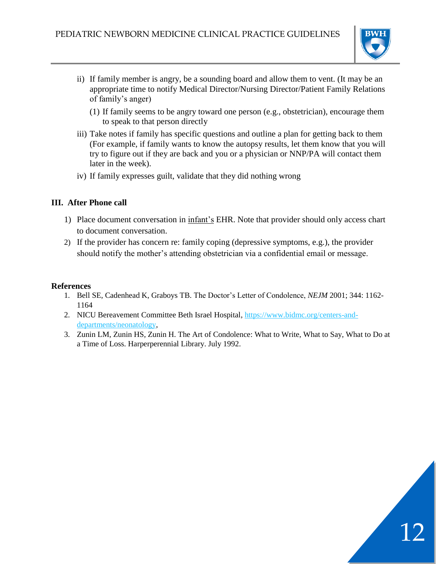

12

- ii) If family member is angry, be a sounding board and allow them to vent. (It may be an appropriate time to notify Medical Director/Nursing Director/Patient Family Relations of family's anger)
	- (1) If family seems to be angry toward one person (e.g., obstetrician), encourage them to speak to that person directly
- iii) Take notes if family has specific questions and outline a plan for getting back to them (For example, if family wants to know the autopsy results, let them know that you will try to figure out if they are back and you or a physician or NNP/PA will contact them later in the week).
- iv) If family expresses guilt, validate that they did nothing wrong

#### **III. After Phone call**

- 1) Place document conversation in infant's EHR. Note that provider should only access chart to document conversation.
- 2) If the provider has concern re: family coping (depressive symptoms, e.g.), the provider should notify the mother's attending obstetrician via a confidential email or message.

#### **References**

- 1. Bell SE, Cadenhead K, Graboys TB. The Doctor's Letter of Condolence, *NEJM* 2001; 344: 1162- 1164
- 2. NICU Bereavement Committee Beth Israel Hospital, [https://www.bidmc.org/centers-and](https://www.bidmc.org/centers-and-departments/neonatology)[departments/neonatology,](https://www.bidmc.org/centers-and-departments/neonatology)
- 3. Zunin LM, Zunin HS, Zunin H. The Art of Condolence: What to Write, What to Say, What to Do at a Time of Loss. Harperperennial Library. July 1992.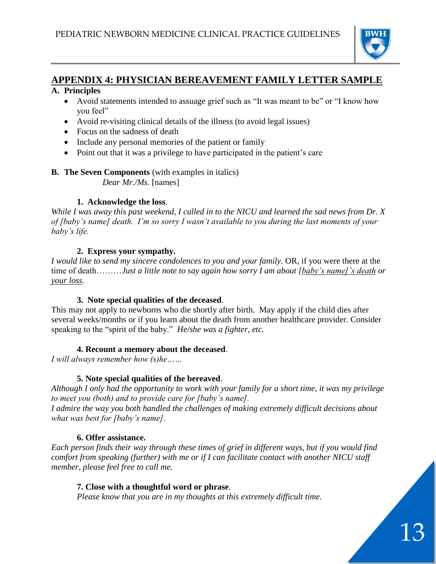

## **APPENDIX 4: PHYSICIAN BEREAVEMENT FAMILY LETTER SAMPLE**

#### **A. Principles**

- Avoid statements intended to assuage grief such as "It was meant to be" or "I know how you feel"
- Avoid re-visiting clinical details of the illness (to avoid legal issues)
- Focus on the sadness of death
- Include any personal memories of the patient or family
- Point out that it was a privilege to have participated in the patient's care

### **B. The Seven Components** (with examples in italics)

*Dear Mr./Ms.* [names]

#### **1. Acknowledge the loss**.

*While I was away this past weekend, I called in to the NICU and learned the sad news from Dr. X of [baby's name] death. I'm so sorry I wasn't available to you during the last moments of your baby's life.*

#### **2. Express your sympathy.**

*I would like to send my sincere condolences to you and your family.* OR, if you were there at the time of death………*Just a little note to say again how sorry I am about [baby's name]'s death or your loss.*

#### **3. Note special qualities of the deceased**.

This may not apply to newborns who die shortly after birth. May apply if the child dies after several weeks/months or if you learn about the death from another healthcare provider. Consider speaking to the "spirit of the baby." *He/she was a fighter, etc.* 

#### **4. Recount a memory about the deceased**.

*I will always remember how (s)he……*

#### **5. Note special qualities of the bereaved**.

*Although I only had the opportunity to work with your family for a short time, it was my privilege to meet you (both) and to provide care for [baby's name].* 

*I admire the way you both handled the challenges of making extremely difficult decisions about what was best for [baby's name].* 

#### **6. Offer assistance.**

*Each person finds their way through these times of grief in different ways, but if you would find comfort from speaking (further) with me or if I can facilitate contact with another NICU staff member, please feel free to call me.*

#### **7. Close with a thoughtful word or phrase**.

*Please know that you are in my thoughts at this extremely difficult time.*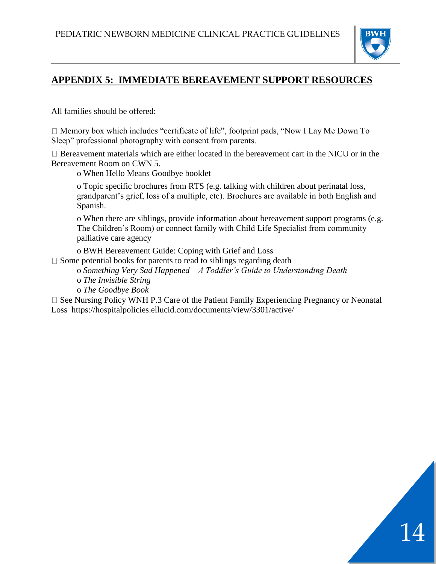

14

## **APPENDIX 5: IMMEDIATE BEREAVEMENT SUPPORT RESOURCES**

All families should be offered:

 $\Box$  Memory box which includes "certificate of life", footprint pads, "Now I Lay Me Down To Sleep" professional photography with consent from parents.

 $\Box$  Bereavement materials which are either located in the bereavement cart in the NICU or in the Bereavement Room on CWN 5.

o When Hello Means Goodbye booklet

o Topic specific brochures from RTS (e.g. talking with children about perinatal loss, grandparent's grief, loss of a multiple, etc). Brochures are available in both English and Spanish.

o When there are siblings, provide information about bereavement support programs (e.g. The Children's Room) or connect family with Child Life Specialist from community palliative care agency

o BWH Bereavement Guide: Coping with Grief and Loss

 $\Box$  Some potential books for parents to read to siblings regarding death

o *Something Very Sad Happened – A Toddler's Guide to Understanding Death* o *The Invisible String*

o *The Goodbye Book*

 $\square$  See Nursing Policy WNH P.3 Care of the Patient Family Experiencing Pregnancy or Neonatal Loss https://hospitalpolicies.ellucid.com/documents/view/3301/active/